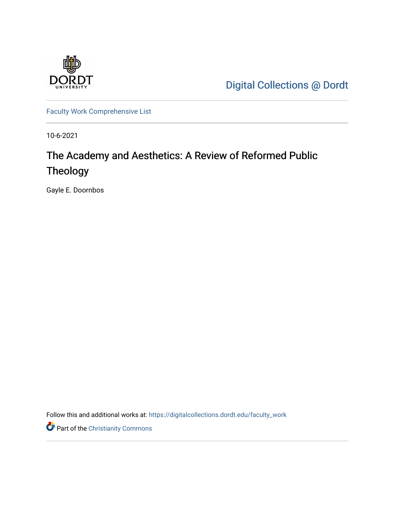

[Digital Collections @ Dordt](https://digitalcollections.dordt.edu/) 

[Faculty Work Comprehensive List](https://digitalcollections.dordt.edu/faculty_work)

10-6-2021

# The Academy and Aesthetics: A Review of Reformed Public Theology

Gayle E. Doornbos

Follow this and additional works at: [https://digitalcollections.dordt.edu/faculty\\_work](https://digitalcollections.dordt.edu/faculty_work?utm_source=digitalcollections.dordt.edu%2Ffaculty_work%2F1357&utm_medium=PDF&utm_campaign=PDFCoverPages) 

Part of the [Christianity Commons](http://network.bepress.com/hgg/discipline/1181?utm_source=digitalcollections.dordt.edu%2Ffaculty_work%2F1357&utm_medium=PDF&utm_campaign=PDFCoverPages)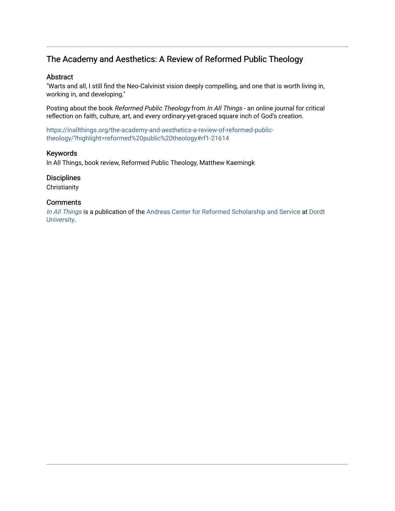## The Academy and Aesthetics: A Review of Reformed Public Theology

#### Abstract

"Warts and all, I still find the Neo-Calvinist vision deeply compelling, and one that is worth living in, working in, and developing."

Posting about the book Reformed Public Theology from In All Things - an online journal for critical reflection on faith, culture, art, and every ordinary-yet-graced square inch of God's creation.

[https://inallthings.org/the-academy-and-aesthetics-a-review-of-reformed-public](https://inallthings.org/the-academy-and-aesthetics-a-review-of-reformed-public-theology/?highlight=reformed%20public%20theology#rf1-21614)[theology/?highlight=reformed%20public%20theology#rf1-21614](https://inallthings.org/the-academy-and-aesthetics-a-review-of-reformed-public-theology/?highlight=reformed%20public%20theology#rf1-21614)

#### Keywords

In All Things, book review, Reformed Public Theology, Matthew Kaemingk

#### **Disciplines**

**Christianity** 

#### **Comments**

[In All Things](http://inallthings.org/) is a publication of the [Andreas Center for Reformed Scholarship and Service](http://www.dordt.edu/services_support/andreas_center/) at Dordt [University](http://www.dordt.edu/).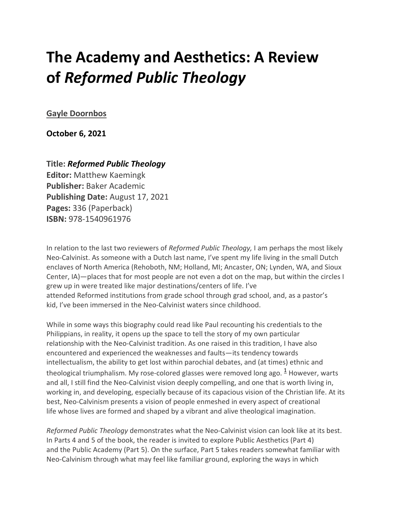# **The Academy and Aesthetics: A Review of** *Reformed Public Theology*

**[Gayle Doornbos](https://inallthings.org/author/gayle-doornbos/)**

**October 6, 2021**

### **Title:** *Reformed Public Theology*

**Editor:** Matthew Kaemingk **Publisher:** Baker Academic **Publishing Date:** August 17, 2021 **Pages:** 336 (Paperback) **ISBN:** 978-1540961976

In relation to the last two reviewers of *Reformed Public Theology,* I am perhaps the most likely Neo-Calvinist. As someone with a Dutch last name, I've spent my life living in the small Dutch enclaves of North America (Rehoboth, NM; Holland, MI; Ancaster, ON; Lynden, WA, and Sioux Center, IA)—places that for most people are not even a dot on the map, but within the circles I grew up in were treated like major destinations/centers of life. I've attended Reformed institutions from grade school through grad school, and, as a pastor's kid, I've been immersed in the Neo-Calvinist waters since childhood.

While in some ways this biography could read like Paul recounting his credentials to the Philippians, in reality, it opens up the space to tell the story of my own particular relationship with the Neo-Calvinist tradition. As one raised in this tradition, I have also encountered and experienced the weaknesses and faults—its tendency towards intellectualism, the ability to get lost within parochial debates, and (at times) ethnic and theological triumphalism. My rose-colored glasses were removed long ago.  $1$  However, warts and all, I still find the Neo-Calvinist vision deeply compelling, and one that is worth living in, working in, and developing, especially because of its capacious vision of the Christian life. At its best, Neo-Calvinism presents a vision of people enmeshed in every aspect of creational life whose lives are formed and shaped by a vibrant and alive theological imagination.

*Reformed Public Theology* demonstrates what the Neo-Calvinist vision can look like at its best. In Parts 4 and 5 of the book, the reader is invited to explore Public Aesthetics (Part 4) and the Public Academy (Part 5). On the surface, Part 5 takes readers somewhat familiar with Neo-Calvinism through what may feel like familiar ground, exploring the ways in which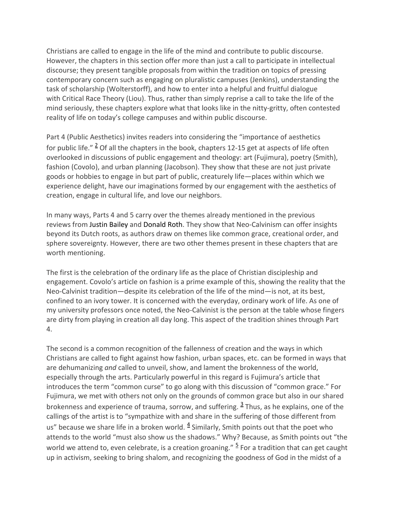Christians are called to engage in the life of the mind and contribute to public discourse. However, the chapters in this section offer more than just a call to participate in intellectual discourse; they present tangible proposals from within the tradition on topics of pressing contemporary concern such as engaging on pluralistic campuses (Jenkins), understanding the task of scholarship (Wolterstorff), and how to enter into a helpful and fruitful dialogue with Critical Race Theory (Liou). Thus, rather than simply reprise a call to take the life of the mind seriously, these chapters explore what that looks like in the nitty-gritty, often contested reality of life on today's college campuses and within public discourse.

Part 4 (Public Aesthetics) invites readers into considering the "importance of aesthetics for public life."  $\frac{2}{3}$  Of all the chapters in the book, chapters 12-15 get at aspects of life often overlooked in discussions of public engagement and theology: art (Fujimura), poetry (Smith), fashion (Covolo), and urban planning (Jacobson). They show that these are not just private goods or hobbies to engage in but part of public, creaturely life—places within which we experience delight, have our imaginations formed by our engagement with the aesthetics of creation, engage in cultural life, and love our neighbors.

In many ways, Parts 4 and 5 carry over the themes already mentioned in the previous reviews from Justin Bailey and Donald Roth. They show that Neo-Calvinism can offer insights beyond its Dutch roots, as authors draw on themes like common grace, creational order, and sphere sovereignty. However, there are two other themes present in these chapters that are worth mentioning.

The first is the celebration of the ordinary life as the place of Christian discipleship and engagement. Covolo's article on fashion is a prime example of this, showing the reality that the Neo-Calvinist tradition—despite its celebration of the life of the mind—is not, at its best, confined to an ivory tower. It is concerned with the everyday, ordinary work of life. As one of my university professors once noted, the Neo-Calvinist is the person at the table whose fingers are dirty from playing in creation all day long. This aspect of the tradition shines through Part 4.

The second is a common recognition of the fallenness of creation and the ways in which Christians are called to fight against how fashion, urban spaces, etc. can be formed in ways that are dehumanizing *and* called to unveil, show, and lament the brokenness of the world, especially through the arts. Particularly powerful in this regard is Fujimura's article that introduces the term "common curse" to go along with this discussion of "common grace." For Fujimura, we met with others not only on the grounds of common grace but also in our shared brokenness and experience of trauma, sorrow, and suffering.  $\frac{3}{2}$  Thus, as he explains, one of the callings of the artist is to "sympathize with and share in the suffering of those different from us" because we share life in a broken world.  $4$  Similarly, Smith points out that the poet who attends to the world "must also show us the shadows." Why? Because, as Smith points out "the world we attend to, even celebrate, is a creation groaning."  $\frac{5}{5}$  $\frac{5}{5}$  $\frac{5}{5}$  For a tradition that can get caught up in activism, seeking to bring shalom, and recognizing the goodness of God in the midst of a